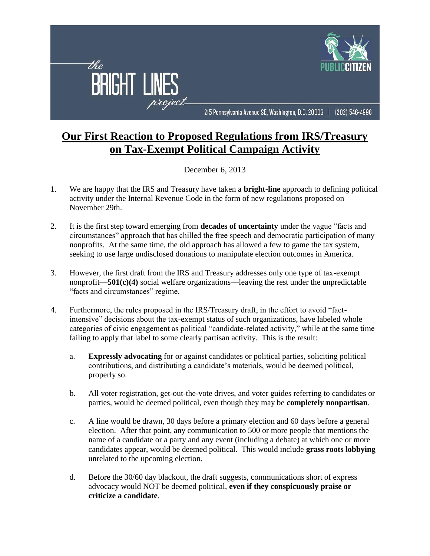

## **Our First Reaction to Proposed Regulations from IRS/Treasury on Tax-Exempt Political Campaign Activity**

December 6, 2013

- 1. We are happy that the IRS and Treasury have taken a **bright-line** approach to defining political activity under the Internal Revenue Code in the form of new regulations proposed on November 29th.
- 2. It is the first step toward emerging from **decades of uncertainty** under the vague "facts and circumstances" approach that has chilled the free speech and democratic participation of many nonprofits. At the same time, the old approach has allowed a few to game the tax system, seeking to use large undisclosed donations to manipulate election outcomes in America.
- 3. However, the first draft from the IRS and Treasury addresses only one type of tax-exempt nonprofit—**501(c)(4)** social welfare organizations—leaving the rest under the unpredictable "facts and circumstances" regime.
- 4. Furthermore, the rules proposed in the IRS/Treasury draft, in the effort to avoid "factintensive" decisions about the tax-exempt status of such organizations, have labeled whole categories of civic engagement as political "candidate-related activity," while at the same time failing to apply that label to some clearly partisan activity. This is the result:
	- a. **Expressly advocating** for or against candidates or political parties, soliciting political contributions, and distributing a candidate's materials, would be deemed political, properly so.
	- b. All voter registration, get-out-the-vote drives, and voter guides referring to candidates or parties, would be deemed political, even though they may be **completely nonpartisan**.
	- c. A line would be drawn, 30 days before a primary election and 60 days before a general election. After that point, any communication to 500 or more people that mentions the name of a candidate or a party and any event (including a debate) at which one or more candidates appear, would be deemed political. This would include **grass roots lobbying** unrelated to the upcoming election.
	- d. Before the 30/60 day blackout, the draft suggests, communications short of express advocacy would NOT be deemed political, **even if they conspicuously praise or criticize a candidate**.